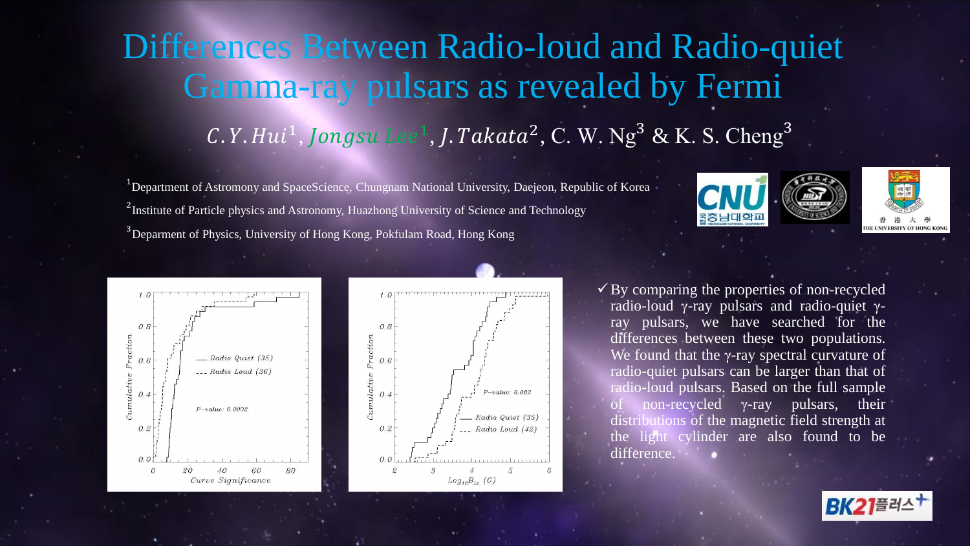## Differences Between Radio-loud and Radio-quiet Gamma-ray pulsars as revealed by Fermi C.Y. Hui<sup>1</sup>, Jongsu Lee<sup>1</sup>, J. Takata<sup>2</sup>, C. W. Ng<sup>3</sup> & K. S. Cheng<sup>3</sup>

<sup>1</sup>Department of Astromony and SpaceScience, Chungnam National University, Daejeon, Republic of Korea <sup>2</sup> Institute of Particle physics and Astronomy, Huazhong University of Science and Technology <sup>3</sup>Deparment of Physics, University of Hong Kong, Pokfulam Road, Hong Kong









 $\checkmark$  By comparing the properties of non-recycled radio-loud γ-ray pulsars and radio-quiet γray pulsars, we have searched for the differences between these two populations. We found that the  $\gamma$ -ray spectral curvature of radio-quiet pulsars can be larger than that of radio-loud pulsars. Based on the full sample non-recycled  $\gamma$ -ray pulsars, their distributions of the magnetic field strength at the light cylinder are also found to be difference.

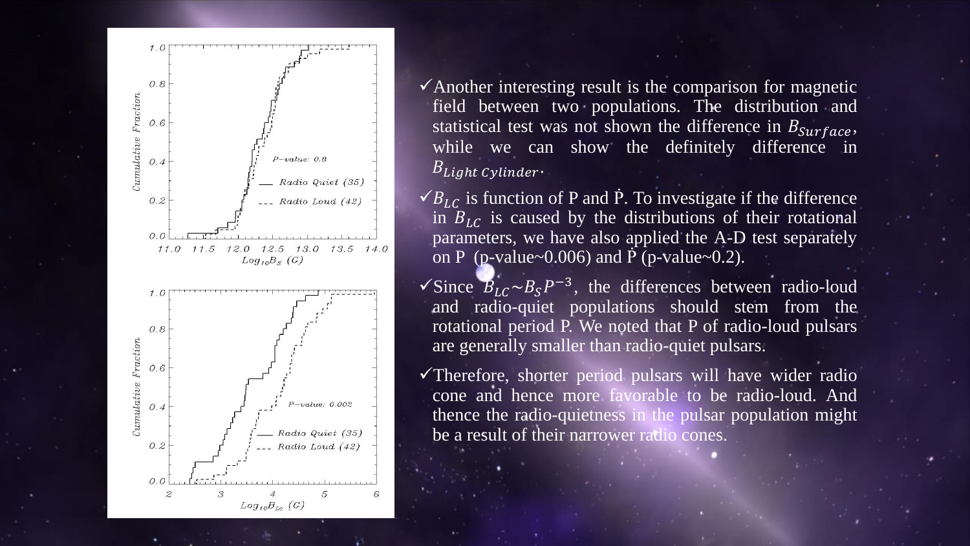

 $\checkmark$  Another interesting result is the comparison for magnetic field between two populations. The distribution and statistical test was not shown the difference in  $B_{\text{surface}}$ , while we can show the definitely difference in  $B_{Light\ Cylinder}.$ 

 $\checkmark B_{LC}$  is function of P and P. To investigate if the difference in  $B_{LC}$  is caused by the distributions of their rotational parameters, we have also applied the A-D test separately on P (p-value~0.006) and  $\dot{P}$  (p-value~0.2).

 $\sqrt{\text{Since } B_{LC} \sim B_S P^{-3}}$ , the differences between radio-loud and radio-quiet populations should stem from the rotational period P. We noted that P of radio-loud pulsars are generally smaller than radio-quiet pulsars.

 $\checkmark$ Therefore, shorter period pulsars will have wider radio cone and hence more favorable to be radio-loud. And thence the radio-quietness in the pulsar population might be a result of their narrower radio cones.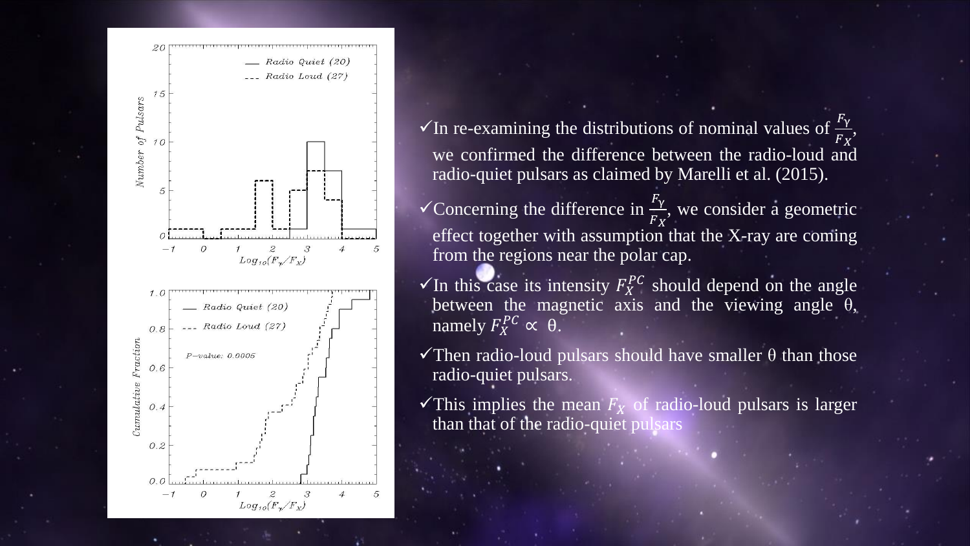

 $\checkmark$  In re-examining the distributions of nominal values of  $F_X$ , we confirmed the difference between the radio-loud and radio-quiet pulsars as claimed by Marelli et al. (2015).

Concerning the difference in  $\frac{F_{\gamma}}{F}$  $F_X$ , we consider a geometric effect together with assumption that the X-ray are coming from the regions near the polar cap.

- $\checkmark$ In this case its intensity  $F_X^{PC}$  should depend on the angle between the magnetic axis and the viewing angle  $\theta$ , namely  $F_X^{PC} \propto \theta$ .
- $\checkmark$ Then radio-loud pulsars should have smaller  $\theta$  than those radio-quiet pulsars.
- This implies the mean  $F<sub>X</sub>$  of radio-loud pulsars is larger than that of the radio-quiet pulsars